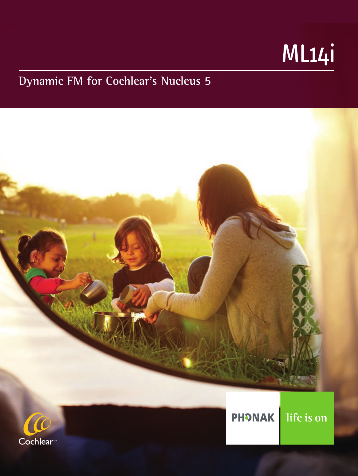# ML14i

# **Dynamic FM for Cochlear's Nucleus 5**

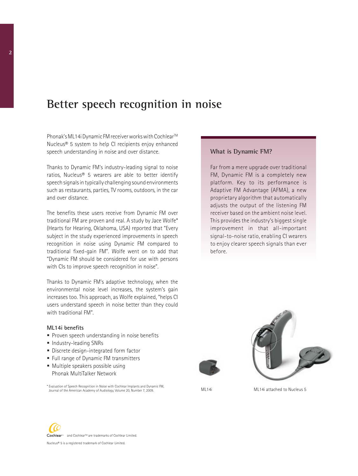## **Better speech recognition in noise**

Phonak's ML14i Dynamic FM receiver works with Cochlear™ Nucleus® 5 system to help CI recipients enjoy enhanced speech understanding in noise and over distance.

Thanks to Dynamic FM's industry-leading signal to noise ratios, Nucleus® 5 wearers are able to better identify speech signals in typically challenging sound environments such as restaurants, parties, TV rooms, outdoors, in the car and over distance.

The benefits these users receive from Dynamic FM over traditional FM are proven and real. A study by Jace Wolfe\* (Hearts for Hearing, Oklahoma, USA) reported that "Every subject in the study experienced improvements in speech recognition in noise using Dynamic FM compared to traditional fixed-gain FM". Wolfe went on to add that "Dynamic FM should be considered for use with persons with CIs to improve speech recognition in noise".

Thanks to Dynamic FM's adaptive technology, when the environmental noise level increases, the system's gain increases too. This approach, as Wolfe explained, "helps CI users understand speech in noise better than they could with traditional FM".

#### **ML14i benefits**

- Proven speech understanding in noise benefits
- **Industry-leading SNRs**
- Discrete design-integrated form factor
- Full range of Dynamic FM transmitters
- Multiple speakers possible using Phonak MultiTalker Network

\* Evaluation of Speech Recognition in Noise with Cochlear Implants and Dynamic FM, Journal of the American Academy of Audiology, Volume 20, Number 7, 2009. ML14i ML14i attached to Nucleus 5

#### **What is Dynamic FM?**

Far from a mere upgrade over traditional FM, Dynamic FM is a completely new platform. Key to its performance is Adaptive FM Advantage (AFMA), a new proprietary algorithm that automatically adjusts the output of the listening FM receiver based on the ambient noise level. This provides the industry's biggest single improvement in that all-important signal-to-noise ratio, enabling CI wearers to enjoy clearer speech signals than ever before.





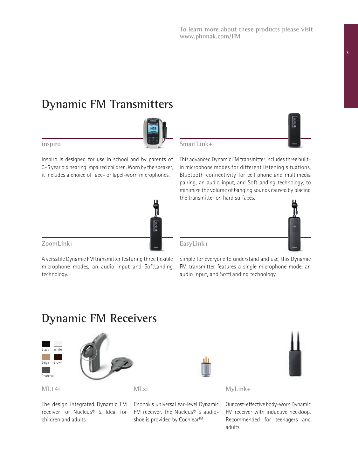**To learn more about these products please visit www.phonak.com/FM**

#### **3**

# **Dynamic FM Transmitters**

**SmartLink+**

This advanced Dynamic FM transmitter includes three builtin microphone modes for different listening situations, Bluetooth connectivity for cell phone and multimedia pairing, an audio input, and SoftLanding technology, to minimize the volume of banging sounds caused by placing the transmitter on hard surfaces.

Simple for everyone to understand and use, this Dynamic FM transmitter features a single microphone mode, an audio input, and SoftLanding technology.

### **EasyLink+** A versatile Dynamic FM transmitter featuring three flexible

**Dynamic FM Receivers** 

microphone modes, an audio input and SoftLanding

The design integrated Dynamic FM receiver for Nucleus® 5. Ideal for children and adults.

Phonak's universal ear-level Dynamic FM receiver. The Nucleus® 5 audioshoe is provided by Cochlear<sup>™</sup>.

**MyLink+**

Our cost-effective body-worn Dynamic FM receiver with inductive neckloop. Recommended for teenagers and adults.





**inspiro**

**ZoomLink+**

technology.

inspiro is designed for use in school and by parents of 0–5 year old hearing impaired children. Worn by the speaker, it includes a choice of face- or lapel-worn microphones.